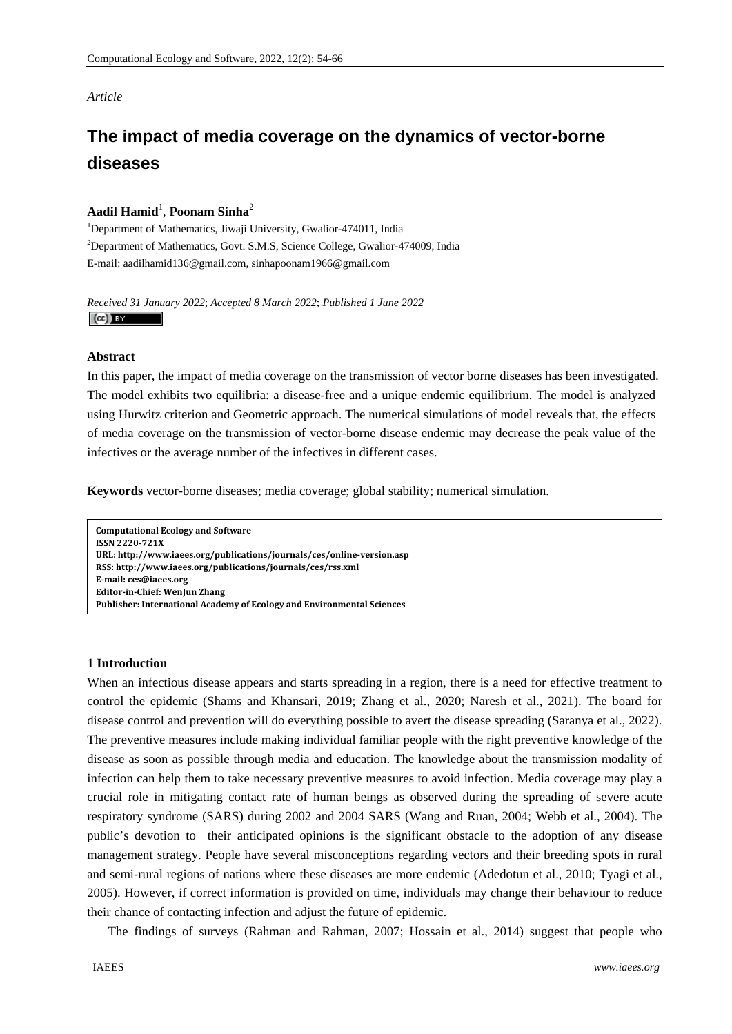# *Article*

# **The impact of media coverage on the dynamics of vector-borne diseases**

# **Aadil Hamid**<sup>1</sup> , **Poonam Sinha**<sup>2</sup>

<sup>1</sup>Department of Mathematics, Jiwaji University, Gwalior-474011, India <sup>2</sup>Department of Mathematics, Govt. S.M.S, Science College, Gwalior-474009, India E-mail: aadilhamid136@gmail.com, sinhapoonam1966@gmail.com

*Received 31 January 2022*; *Accepted 8 March 2022*; *Published 1 June 2022*   $\left(\mathrm{cc}\right)$  BY

#### **Abstract**

In this paper, the impact of media coverage on the transmission of vector borne diseases has been investigated. The model exhibits two equilibria: a disease-free and a unique endemic equilibrium. The model is analyzed using Hurwitz criterion and Geometric approach. The numerical simulations of model reveals that, the effects of media coverage on the transmission of vector-borne disease endemic may decrease the peak value of the infectives or the average number of the infectives in different cases.

**Keywords** vector-borne diseases; media coverage; global stability; numerical simulation.

**Computational Ecology and Software ISSN 2220721X URL: http://www.iaees.org/publications/journals/ces/onlineversion.asp RSS: http://www.iaees.org/publications/journals/ces/rss.xml Email: ces@iaees.org EditorinChief: WenJun Zhang Publisher: International Academy of Ecology and Environmental Sciences**

#### **1 Introduction**

When an infectious disease appears and starts spreading in a region, there is a need for effective treatment to control the epidemic (Shams and Khansari, 2019; Zhang et al., 2020; Naresh et al., 2021). The board for disease control and prevention will do everything possible to avert the disease spreading (Saranya et al., 2022). The preventive measures include making individual familiar people with the right preventive knowledge of the disease as soon as possible through media and education. The knowledge about the transmission modality of infection can help them to take necessary preventive measures to avoid infection. Media coverage may play a crucial role in mitigating contact rate of human beings as observed during the spreading of severe acute respiratory syndrome (SARS) during 2002 and 2004 SARS (Wang and Ruan, 2004; Webb et al., 2004). The public's devotion to their anticipated opinions is the significant obstacle to the adoption of any disease management strategy. People have several misconceptions regarding vectors and their breeding spots in rural and semi-rural regions of nations where these diseases are more endemic (Adedotun et al., 2010; Tyagi et al., 2005). However, if correct information is provided on time, individuals may change their behaviour to reduce their chance of contacting infection and adjust the future of epidemic.

The findings of surveys (Rahman and Rahman, 2007; Hossain et al., 2014) suggest that people who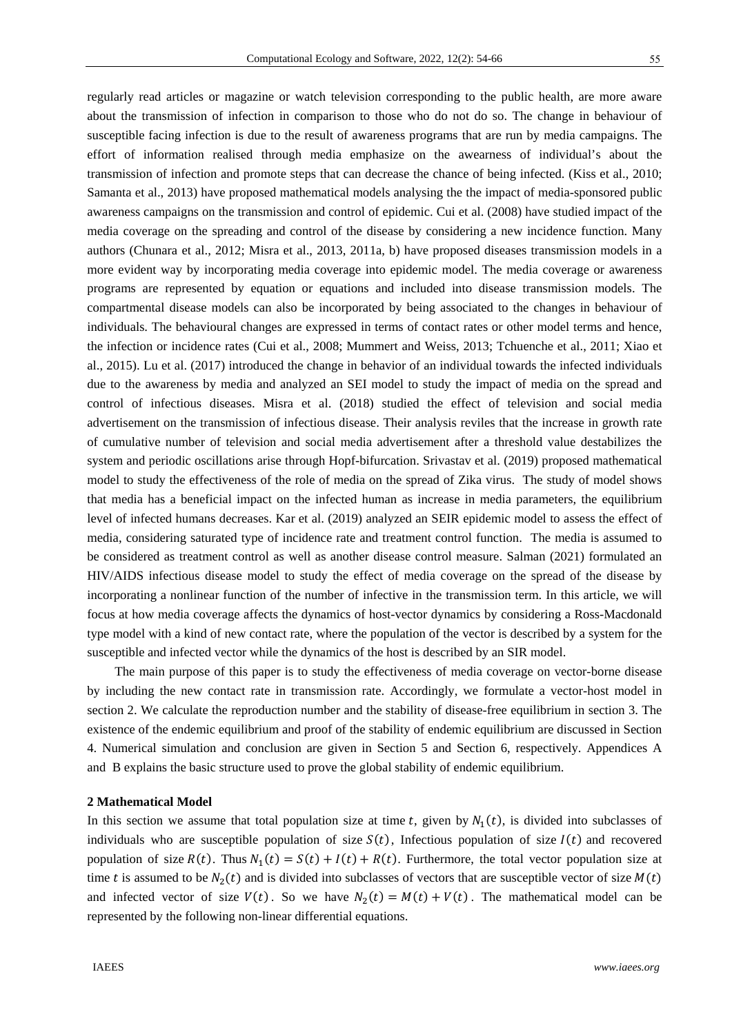regularly read articles or magazine or watch television corresponding to the public health, are more aware about the transmission of infection in comparison to those who do not do so. The change in behaviour of susceptible facing infection is due to the result of awareness programs that are run by media campaigns. The effort of information realised through media emphasize on the awearness of individual's about the transmission of infection and promote steps that can decrease the chance of being infected. (Kiss et al., 2010; Samanta et al., 2013) have proposed mathematical models analysing the the impact of media-sponsored public awareness campaigns on the transmission and control of epidemic. Cui et al. (2008) have studied impact of the media coverage on the spreading and control of the disease by considering a new incidence function. Many authors (Chunara et al., 2012; Misra et al., 2013, 2011a, b) have proposed diseases transmission models in a more evident way by incorporating media coverage into epidemic model. The media coverage or awareness programs are represented by equation or equations and included into disease transmission models. The compartmental disease models can also be incorporated by being associated to the changes in behaviour of individuals. The behavioural changes are expressed in terms of contact rates or other model terms and hence, the infection or incidence rates (Cui et al., 2008; Mummert and Weiss, 2013; Tchuenche et al., 2011; Xiao et al., 2015). Lu et al. (2017) introduced the change in behavior of an individual towards the infected individuals due to the awareness by media and analyzed an SEI model to study the impact of media on the spread and control of infectious diseases. Misra et al. (2018) studied the effect of television and social media advertisement on the transmission of infectious disease. Their analysis reviles that the increase in growth rate of cumulative number of television and social media advertisement after a threshold value destabilizes the system and periodic oscillations arise through Hopf-bifurcation. Srivastav et al. (2019) proposed mathematical model to study the effectiveness of the role of media on the spread of Zika virus. The study of model shows that media has a beneficial impact on the infected human as increase in media parameters, the equilibrium level of infected humans decreases. Kar et al. (2019) analyzed an SEIR epidemic model to assess the effect of media, considering saturated type of incidence rate and treatment control function. The media is assumed to be considered as treatment control as well as another disease control measure. Salman (2021) formulated an HIV/AIDS infectious disease model to study the effect of media coverage on the spread of the disease by incorporating a nonlinear function of the number of infective in the transmission term. In this article, we will focus at how media coverage affects the dynamics of host-vector dynamics by considering a Ross-Macdonald type model with a kind of new contact rate, where the population of the vector is described by a system for the susceptible and infected vector while the dynamics of the host is described by an SIR model.

The main purpose of this paper is to study the effectiveness of media coverage on vector-borne disease by including the new contact rate in transmission rate. Accordingly, we formulate a vector-host model in section 2. We calculate the reproduction number and the stability of disease-free equilibrium in section 3. The existence of the endemic equilibrium and proof of the stability of endemic equilibrium are discussed in Section 4. Numerical simulation and conclusion are given in Section 5 and Section 6, respectively. Appendices A and B explains the basic structure used to prove the global stability of endemic equilibrium.

#### **2 Mathematical Model**

In this section we assume that total population size at time t, given by  $N_1(t)$ , is divided into subclasses of individuals who are susceptible population of size  $S(t)$ , Infectious population of size  $I(t)$  and recovered population of size  $R(t)$ . Thus  $N_1(t) = S(t) + I(t) + R(t)$ . Furthermore, the total vector population size at time t is assumed to be  $N_2(t)$  and is divided into subclasses of vectors that are susceptible vector of size  $M(t)$ and infected vector of size  $V(t)$ . So we have  $N_2(t) = M(t) + V(t)$ . The mathematical model can be represented by the following non-linear differential equations.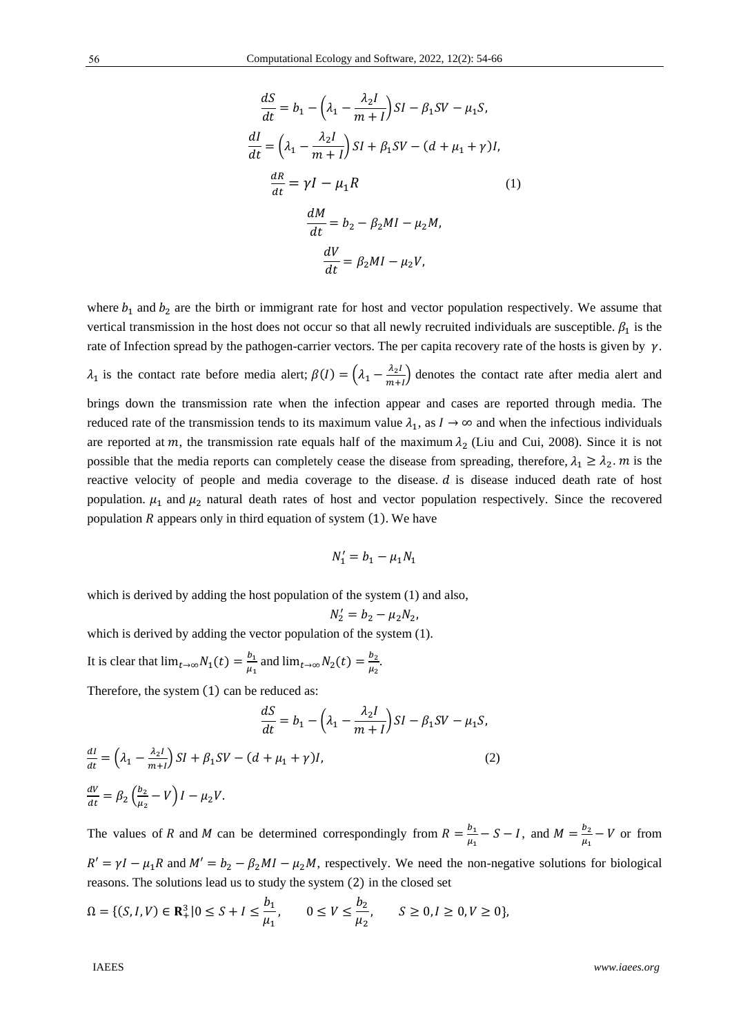$$
\frac{dS}{dt} = b_1 - \left(\lambda_1 - \frac{\lambda_2 I}{m+1}\right)SI - \beta_1 SV - \mu_1 S,
$$
  

$$
\frac{dI}{dt} = \left(\lambda_1 - \frac{\lambda_2 I}{m+1}\right)SI + \beta_1 SV - (d + \mu_1 + \gamma)I,
$$
  

$$
\frac{dR}{dt} = \gamma I - \mu_1 R
$$
 (1)  

$$
\frac{dM}{dt} = b_2 - \beta_2 MI - \mu_2 M,
$$
  

$$
\frac{dV}{dt} = \beta_2 MI - \mu_2 V,
$$

where  $b_1$  and  $b_2$  are the birth or immigrant rate for host and vector population respectively. We assume that vertical transmission in the host does not occur so that all newly recruited individuals are susceptible.  $\beta_1$  is the rate of Infection spread by the pathogen-carrier vectors. The per capita recovery rate of the hosts is given by  $\gamma$ .  $\lambda_1$  is the contact rate before media alert;  $\beta(I) = (\lambda_1 - \frac{\lambda_2 I}{m+1})$  denotes the contact rate after media alert and

brings down the transmission rate when the infection appear and cases are reported through media. The reduced rate of the transmission tends to its maximum value  $\lambda_1$ , as  $I \rightarrow \infty$  and when the infectious individuals are reported at m, the transmission rate equals half of the maximum  $\lambda_2$  (Liu and Cui, 2008). Since it is not possible that the media reports can completely cease the disease from spreading, therefore,  $\lambda_1 \geq \lambda_2$ . *m* is the reactive velocity of people and media coverage to the disease.  $d$  is disease induced death rate of host population.  $\mu_1$  and  $\mu_2$  natural death rates of host and vector population respectively. Since the recovered population  *appears only in third equation of system*  $(1)$ *. We have* 

$$
N_1' = b_1 - \mu_1 N_1
$$

which is derived by adding the host population of the system (1) and also,

$$
N_2' = b_2 - \mu_2 N_2,
$$

which is derived by adding the vector population of the system (1).

It is clear that  $\lim_{t \to \infty} N_1(t) = \frac{b_1}{\mu_1}$  and  $\lim_{t \to \infty} N_2(t) = \frac{b_2}{\mu_2}$ .

Therefore, the system  $(1)$  can be reduced as:

$$
\frac{dS}{dt} = b_1 - \left(\lambda_1 - \frac{\lambda_2 I}{m + I}\right) SI - \beta_1 SV - \mu_1 S,
$$
  

$$
\frac{dI}{dt} = \left(\lambda_1 - \frac{\lambda_2 I}{m + I}\right) SI + \beta_1 SV - \left(d + \mu_1 + \gamma\right) I,
$$
  

$$
\frac{dV}{dt} = \beta_2 \left(\frac{b_2}{\mu_2} - V\right) I - \mu_2 V.
$$
  
(2)

The values of R and M can be determined correspondingly from  $R = \frac{b_1}{\mu_1} - S - I$ , and  $M = \frac{b_2}{\mu_1} - V$  or from  $R' = \gamma I - \mu_1 R$  and  $M' = b_2 - \beta_2 M I - \mu_2 M$ , respectively. We need the non-negative solutions for biological reasons. The solutions lead us to study the system  $(2)$  in the closed set

$$
\Omega = \{ (S, I, V) \in \mathbf{R}_+^3 | 0 \le S + I \le \frac{b_1}{\mu_1}, \qquad 0 \le V \le \frac{b_2}{\mu_2}, \qquad S \ge 0, I \ge 0, V \ge 0 \},\
$$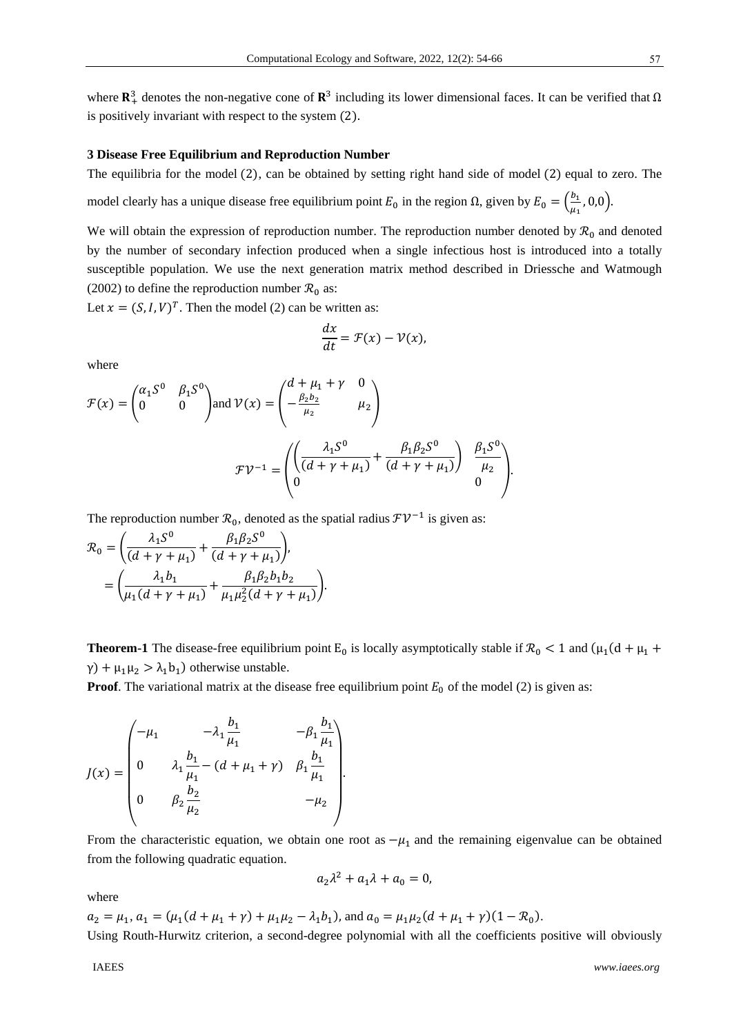where  $\mathbb{R}^3$  denotes the non-negative cone of  $\mathbb{R}^3$  including its lower dimensional faces. It can be verified that  $\Omega$ is positively invariant with respect to the system  $(2)$ .

#### **3 Disease Free Equilibrium and Reproduction Number**

The equilibria for the model (2), can be obtained by setting right hand side of model (2) equal to zero. The

model clearly has a unique disease free equilibrium point  $E_0$  in the region Ω, given by  $E_0 = \left(\frac{b_1}{\mu_1}, 0, 0\right)$ .

We will obtain the expression of reproduction number. The reproduction number denoted by  $\mathcal{R}_0$  and denoted by the number of secondary infection produced when a single infectious host is introduced into a totally susceptible population. We use the next generation matrix method described in Driessche and Watmough (2002) to define the reproduction number  $\mathcal{R}_0$  as:

Let  $x = (S, I, V)^T$ . Then the model (2) can be written as:

$$
\frac{dx}{dt} = \mathcal{F}(x) - \mathcal{V}(x),
$$

where

$$
\mathcal{F}(x) = \begin{pmatrix} \alpha_1 S^0 & \beta_1 S^0 \\ 0 & 0 \end{pmatrix} \text{and } \mathcal{V}(x) = \begin{pmatrix} d + \mu_1 + \gamma & 0 \\ -\frac{\beta_2 b_2}{\mu_2} & \mu_2 \end{pmatrix}
$$

$$
\mathcal{F}\mathcal{V}^{-1} = \begin{pmatrix} \left(\frac{\lambda_1 S^0}{(d + \gamma + \mu_1)} + \frac{\beta_1 \beta_2 S^0}{(d + \gamma + \mu_1)}\right) & \frac{\beta_1 S^0}{\mu_2} \\ 0 & 0 \end{pmatrix}.
$$

The reproduction number  $\mathcal{R}_0$ , denoted as the spatial radius  $\mathcal{F} \mathcal{V}^{-1}$  is given as:

$$
\mathcal{R}_0 = \left(\frac{\lambda_1 S^0}{(d + \gamma + \mu_1)} + \frac{\beta_1 \beta_2 S^0}{(d + \gamma + \mu_1)}\right),
$$
  
= 
$$
\left(\frac{\lambda_1 b_1}{\mu_1 (d + \gamma + \mu_1)} + \frac{\beta_1 \beta_2 b_1 b_2}{\mu_1 \mu_2^2 (d + \gamma + \mu_1)}\right).
$$

**Theorem-1** The disease-free equilibrium point E<sub>0</sub> is locally asymptotically stable if  $\mathcal{R}_0$  < 1 and ( $\mu_1$ (d +  $\mu_1$  +  $\gamma$ ) +  $\mu_1 \mu_2 > \lambda_1 b_1$ ) otherwise unstable.

**Proof.** The variational matrix at the disease free equilibrium point  $E_0$  of the model (2) is given as:

$$
J(x) = \begin{pmatrix} -\mu_1 & -\lambda_1 \frac{b_1}{\mu_1} & -\beta_1 \frac{b_1}{\mu_1} \\ 0 & \lambda_1 \frac{b_1}{\mu_1} - (d + \mu_1 + \gamma) & \beta_1 \frac{b_1}{\mu_1} \\ 0 & \beta_2 \frac{b_2}{\mu_2} & -\mu_2 \end{pmatrix}.
$$

From the characteristic equation, we obtain one root as  $-\mu_1$  and the remaining eigenvalue can be obtained from the following quadratic equation.

$$
a_2\lambda^2 + a_1\lambda + a_0 = 0,
$$

where

 $a_2 = \mu_1, a_1 = (\mu_1(d + \mu_1 + \gamma) + \mu_1\mu_2 - \lambda_1b_1)$ , and  $a_0 = \mu_1\mu_2(d + \mu_1 + \gamma)(1 - \mathcal{R}_0)$ . Using Routh-Hurwitz criterion, a second-degree polynomial with all the coefficients positive will obviously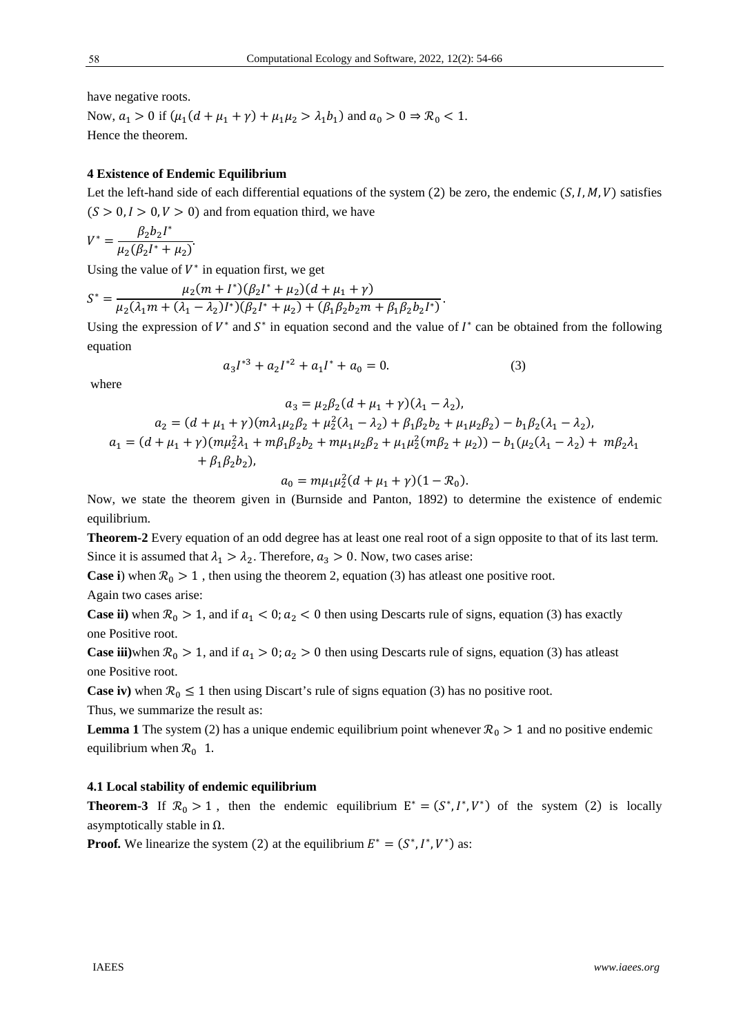have negative roots.

Now,  $a_1 > 0$  if  $(\mu_1(d + \mu_1 + \gamma) + \mu_1\mu_2 > \lambda_1b_1)$  and  $a_0 > 0 \Rightarrow \mathcal{R}_0 < 1$ . Hence the theorem.

#### **4 Existence of Endemic Equilibrium**

Let the left-hand side of each differential equations of the system  $(2)$  be zero, the endemic  $(S, I, M, V)$  satisfies  $(S > 0, I > 0, V > 0)$  and from equation third, we have

$$
V^* = \frac{\beta_2 b_2 I^*}{\mu_2(\beta_2 I^* + \mu_2)}.
$$

Using the value of  $V^*$  in equation first, we get

$$
S^* = \frac{\mu_2(m + I^*)(\beta_2 I^* + \mu_2)(d + \mu_1 + \gamma)}{\mu_2(\lambda_1 m + (\lambda_1 - \lambda_2)I^*)(\beta_2 I^* + \mu_2) + (\beta_1 \beta_2 b_2 m + \beta_1 \beta_2 b_2 I^*)}.
$$

Using the expression of  $V^*$  and  $S^*$  in equation second and the value of  $I^*$  can be obtained from the following equation

$$
a_3I^{*3} + a_2I^{*2} + a_1I^* + a_0 = 0.
$$
 (3)

where

$$
a_3 = \mu_2 \beta_2 (d + \mu_1 + \gamma)(\lambda_1 - \lambda_2),
$$
  
\n
$$
a_2 = (d + \mu_1 + \gamma)(m\lambda_1 \mu_2 \beta_2 + \mu_2^2 (\lambda_1 - \lambda_2) + \beta_1 \beta_2 b_2 + \mu_1 \mu_2 \beta_2) - b_1 \beta_2 (\lambda_1 - \lambda_2),
$$
  
\n
$$
a_1 = (d + \mu_1 + \gamma)(m\mu_2^2 \lambda_1 + m\beta_1 \beta_2 b_2 + m\mu_1 \mu_2 \beta_2 + \mu_1 \mu_2^2 (m\beta_2 + \mu_2)) - b_1 (\mu_2 (\lambda_1 - \lambda_2) + m\beta_2 \lambda_1 + \beta_1 \beta_2 b_2),
$$

$$
a_0 = m\mu_1\mu_2^2(d + \mu_1 + \gamma)(1 - \mathcal{R}_0).
$$

Now, we state the theorem given in (Burnside and Panton, 1892) to determine the existence of endemic equilibrium.

**Theorem-2** Every equation of an odd degree has at least one real root of a sign opposite to that of its last term*.*  Since it is assumed that  $\lambda_1 > \lambda_2$ . Therefore,  $a_3 > 0$ . Now, two cases arise:

**Case i**) when  $\mathcal{R}_0 > 1$ , then using the theorem 2, equation (3) has atleast one positive root.

Again two cases arise:

**Case ii**) when  $\mathcal{R}_0 > 1$ , and if  $a_1 < 0$ ;  $a_2 < 0$  then using Descarts rule of signs, equation (3) has exactly one Positive root.

**Case iii**)when  $\mathcal{R}_0 > 1$ , and if  $a_1 > 0$ ;  $a_2 > 0$  then using Descarts rule of signs, equation (3) has atleast one Positive root.

**Case iv**) when  $\mathcal{R}_0 \leq 1$  then using Discart's rule of signs equation (3) has no positive root.

Thus, we summarize the result as:

**Lemma 1** The system (2) has a unique endemic equilibrium point whenever  $\mathcal{R}_0 > 1$  and no positive endemic equilibrium when  $\mathcal{R}_0$  1.

## **4.1 Local stability of endemic equilibrium**

**Theorem-3** If  $\mathcal{R}_0 > 1$ , then the endemic equilibrium  $E^* = (S^*, I^*, V^*)$  of the system (2) is locally asymptotically stable in  $Ω$ .

**Proof.** We linearize the system (2) at the equilibrium  $E^* = (S^*, I^*, V^*)$  as: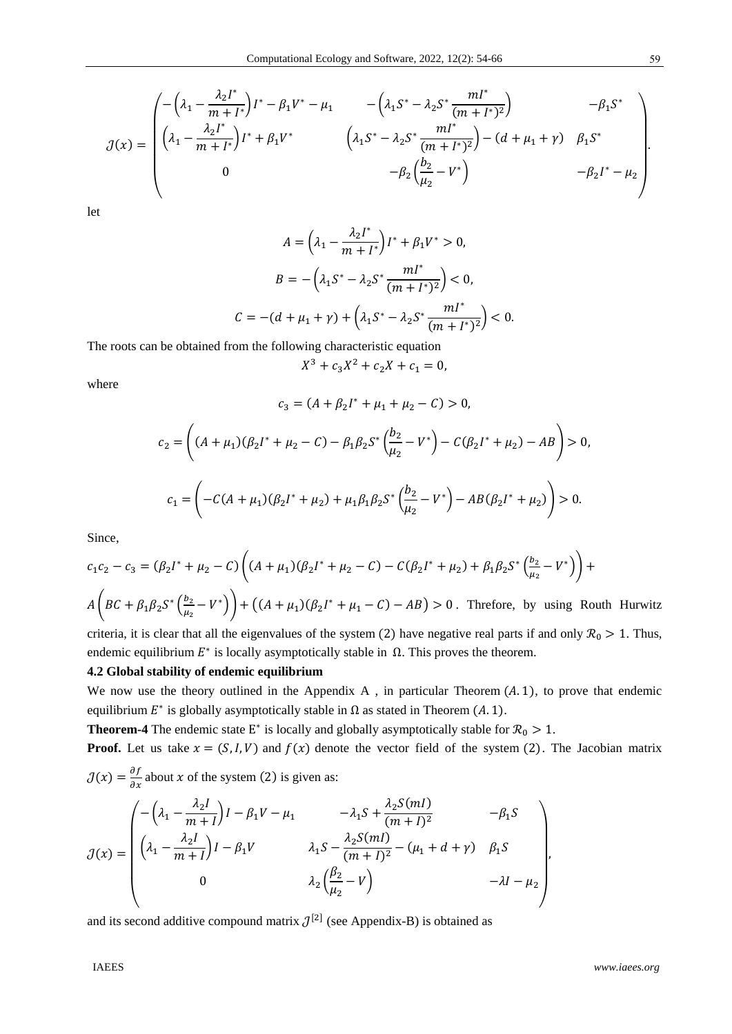$$
\mathcal{J}(x) = \begin{pmatrix}\n-\left(\lambda_1 - \frac{\lambda_2 I^*}{m + I^*}\right)I^* - \beta_1 V^* - \mu_1 & -\left(\lambda_1 S^* - \lambda_2 S^* \frac{mI^*}{(m + I^*)^2}\right) & -\beta_1 S^* \\
\left(\lambda_1 - \frac{\lambda_2 I^*}{m + I^*}\right)I^* + \beta_1 V^* & \left(\lambda_1 S^* - \lambda_2 S^* \frac{mI^*}{(m + I^*)^2}\right) - (d + \mu_1 + \gamma) & \beta_1 S^* \\
0 & -\beta_2 \left(\frac{b_2}{\mu_2} - V^*\right) & -\beta_2 I^* - \mu_2\n\end{pmatrix}.
$$

let

$$
A = \left(\lambda_1 - \frac{\lambda_2 I^*}{m + I^*}\right)I^* + \beta_1 V^* > 0,
$$
  

$$
B = -\left(\lambda_1 S^* - \lambda_2 S^* \frac{mI^*}{(m + I^*)^2}\right) < 0,
$$
  

$$
C = -(d + \mu_1 + \gamma) + \left(\lambda_1 S^* - \lambda_2 S^* \frac{mI^*}{(m + I^*)^2}\right) < 0.
$$

The roots can be obtained from the following characteristic equation

 $X^3 + c_3 X^2 + c_2 X + c_1 = 0$ ,

where

$$
c_3 = (A + \beta_2 I^* + \mu_1 + \mu_2 - C) > 0,
$$
  
\n
$$
c_2 = \left( (A + \mu_1)(\beta_2 I^* + \mu_2 - C) - \beta_1 \beta_2 S^* \left( \frac{b_2}{\mu_2} - V^* \right) - C(\beta_2 I^* + \mu_2) - AB \right) > 0,
$$
  
\n
$$
c_1 = \left( -C(A + \mu_1)(\beta_2 I^* + \mu_2) + \mu_1 \beta_1 \beta_2 S^* \left( \frac{b_2}{\mu_2} - V^* \right) - AB(\beta_2 I^* + \mu_2) \right) > 0.
$$

Since,

$$
c_1c_2 - c_3 = (\beta_2I^* + \mu_2 - C) \left( (A + \mu_1)(\beta_2I^* + \mu_2 - C) - C(\beta_2I^* + \mu_2) + \beta_1\beta_2S^* \left(\frac{b_2}{\mu_2} - V^*\right) \right) +
$$
  

$$
A\left( BC + \beta_1\beta_2S^* \left(\frac{b_2}{\mu_2} - V^*\right) \right) + \left( (A + \mu_1)(\beta_2I^* + \mu_1 - C) - AB \right) > 0.
$$
 Therefore, by using Routh Hurwitz

criteria, it is clear that all the eigenvalues of the system (2) have negative real parts if and only  $\mathcal{R}_0 > 1$ . Thus, endemic equilibrium  $E^*$  is locally asymptotically stable in  $\Omega$ . This proves the theorem.

## **4.2 Global stability of endemic equilibrium**

We now use the theory outlined in the Appendix A, in particular Theorem  $(A, 1)$ , to prove that endemic equilibrium  $E^*$  is globally asymptotically stable in  $\Omega$  as stated in Theorem (A. 1).

**Theorem-4** The endemic state  $E^*$  is locally and globally asymptotically stable for  $\mathcal{R}_0 > 1$ .

**Proof.** Let us take  $x = (S, I, V)$  and  $f(x)$  denote the vector field of the system (2). The Jacobian matrix  $\mathcal{J}(x) = \frac{\partial f}{\partial x}$  about x of the system (2) is given as:

$$
\mathcal{J}(x) = \begin{pmatrix} -\left(\lambda_1 - \frac{\lambda_2 I}{m + I}\right)I - \beta_1 V - \mu_1 & -\lambda_1 S + \frac{\lambda_2 S(mI)}{(m + I)^2} & -\beta_1 S \\ \left(\lambda_1 - \frac{\lambda_2 I}{m + I}\right)I - \beta_1 V & \lambda_1 S - \frac{\lambda_2 S(mI)}{(m + I)^2} - (\mu_1 + d + \gamma) & \beta_1 S \\ 0 & \lambda_2 \left(\frac{\beta_2}{\mu_2} - V\right) & -\lambda I - \mu_2 \end{pmatrix},
$$

and its second additive compound matrix  $\mathcal{J}^{[2]}$  (see Appendix-B) is obtained as

59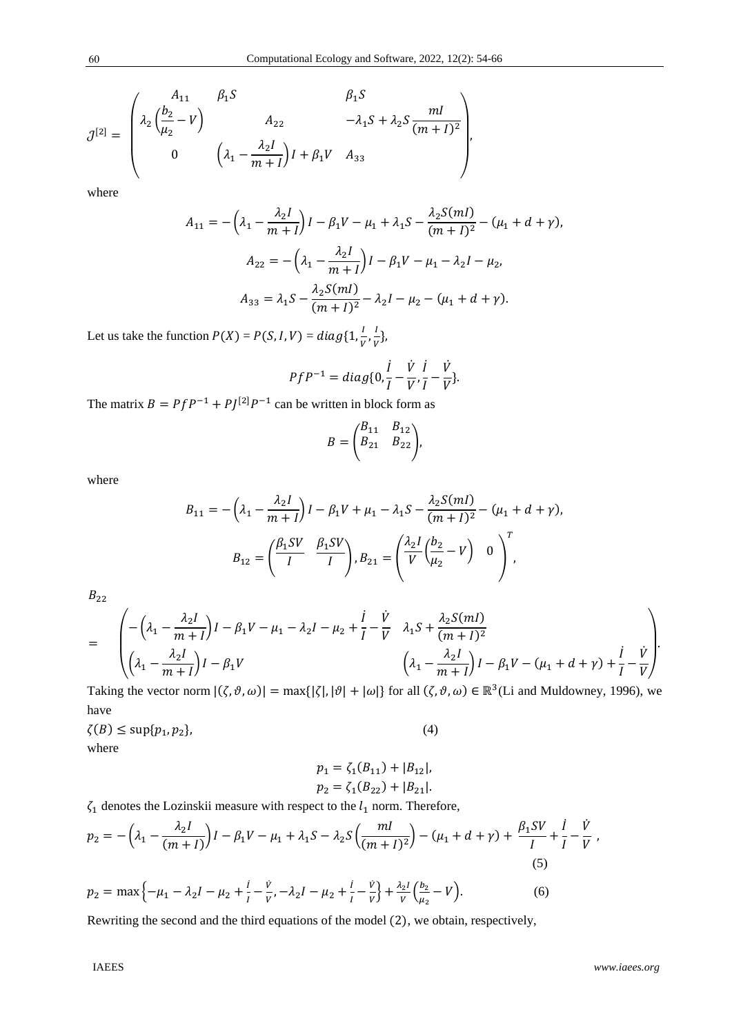$$
\mathcal{J}^{[2]} = \begin{pmatrix} A_{11} & \beta_1 S & \beta_1 S \\ \lambda_2 \left( \frac{b_2}{\mu_2} - V \right) & A_{22} & -\lambda_1 S + \lambda_2 S \frac{mI}{(m+I)^2} \\ 0 & \left( \lambda_1 - \frac{\lambda_2 I}{m+I} \right) I + \beta_1 V & A_{33} \end{pmatrix},
$$

where

$$
A_{11} = -\left(\lambda_1 - \frac{\lambda_2 I}{m+I}\right)I - \beta_1 V - \mu_1 + \lambda_1 S - \frac{\lambda_2 S(mI)}{(m+I)^2} - (\mu_1 + d + \gamma),
$$
  

$$
A_{22} = -\left(\lambda_1 - \frac{\lambda_2 I}{m+I}\right)I - \beta_1 V - \mu_1 - \lambda_2 I - \mu_2,
$$
  

$$
A_{33} = \lambda_1 S - \frac{\lambda_2 S(mI)}{(m+I)^2} - \lambda_2 I - \mu_2 - (\mu_1 + d + \gamma).
$$

Let us take the function  $P(X) = P(S, I, V) = diag\{1, \frac{I}{V}, \frac{I}{V}\}$  $\frac{1}{V}$ 

$$
PfP^{-1} = diag\{0, \frac{i}{I} - \frac{\dot{V}}{V}, \frac{i}{I} - \frac{\dot{V}}{V}\}.
$$

The matrix  $B = PfP^{-1} + PJ^{[2]}P^{-1}$  can be written in block form as

$$
B = \begin{pmatrix} B_{11} & B_{12} \\ B_{21} & B_{22} \end{pmatrix},
$$

where

$$
B_{11} = -\left(\lambda_1 - \frac{\lambda_2 I}{m+I}\right)I - \beta_1 V + \mu_1 - \lambda_1 S - \frac{\lambda_2 S(mI)}{(m+I)^2} - (\mu_1 + d + \gamma),
$$
  

$$
B_{12} = \left(\frac{\beta_1 SV}{I} - \frac{\beta_1 SV}{I}\right), B_{21} = \left(\frac{\lambda_2 I}{V} \left(\frac{b_2}{\mu_2} - V\right) - 0\right)^T,
$$

 $B_{22}$ 

$$
= \begin{pmatrix} -\left(\lambda_1 - \frac{\lambda_2 I}{m+I}\right)I - \beta_1 V - \mu_1 - \lambda_2 I - \mu_2 + \frac{i}{I} - \frac{\dot{V}}{V} & \lambda_1 S + \frac{\lambda_2 S(mI)}{(m+I)^2} \\ \left(\lambda_1 - \frac{\lambda_2 I}{m+I}\right)I - \beta_1 V & \left(\lambda_1 - \frac{\lambda_2 I}{m+I}\right)I - \beta_1 V - (\mu_1 + d + \gamma) + \frac{i}{I} - \frac{\dot{V}}{V} \end{pmatrix}
$$

Taking the vector norm  $|(\zeta, \vartheta, \omega)| = \max\{|\zeta|, |\vartheta| + |\omega|\}$  for all  $(\zeta, \vartheta, \omega) \in \mathbb{R}^3$  (Li and Muldowney, 1996), we have

 $\zeta(B) \leq \sup\{p_1, p_2\},\tag{4}$ where

$$
p_1 = \zeta_1(B_{11}) + |B_{12}|,
$$
  

$$
p_2 = \zeta_1(B_{22}) + |B_{21}|.
$$

 $\zeta_1$  denotes the Lozinskii measure with respect to the  $l_1$  norm. Therefore,

$$
p_2 = -\left(\lambda_1 - \frac{\lambda_2 I}{(m+I)}\right)I - \beta_1 V - \mu_1 + \lambda_1 S - \lambda_2 S \left(\frac{mI}{(m+I)^2}\right) - (\mu_1 + d + \gamma) + \frac{\beta_1 SV}{I} + \frac{i}{I} - \frac{\dot{V}}{V},
$$
\n(5)

$$
p_2 = \max\left\{-\mu_1 - \lambda_2 I - \mu_2 + \frac{i}{I} - \frac{\dot{v}}{v}, -\lambda_2 I - \mu_2 + \frac{i}{I} - \frac{\dot{v}}{v}\right\} + \frac{\lambda_2 I}{v} \left(\frac{b_2}{\mu_2} - V\right).
$$
(6)

Rewriting the second and the third equations of the model (2), we obtain, respectively,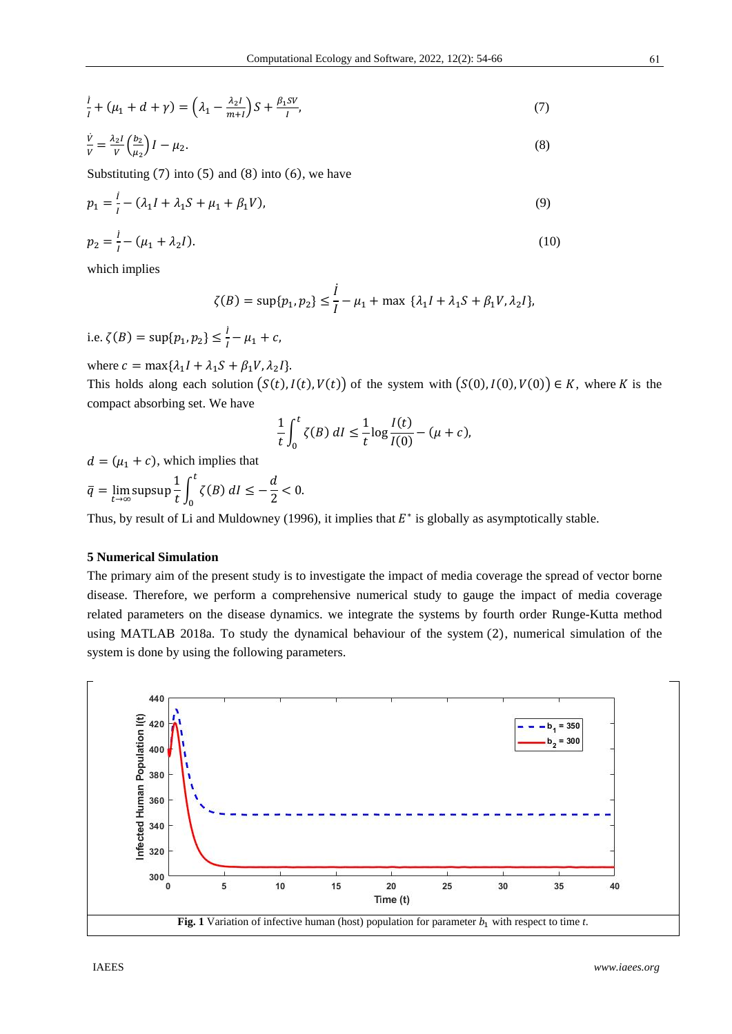$$
\frac{i}{I} + (\mu_1 + d + \gamma) = \left(\lambda_1 - \frac{\lambda_2 I}{m + I}\right)S + \frac{\beta_1 SV}{I},\tag{7}
$$

$$
\frac{\dot{V}}{V} = \frac{\lambda_2 I}{V} \left(\frac{b_2}{\mu_2}\right) I - \mu_2. \tag{8}
$$

Substituting  $(7)$  into  $(5)$  and  $(8)$  into  $(6)$ , we have

$$
p_1 = \frac{i}{I} - (\lambda_1 I + \lambda_1 S + \mu_1 + \beta_1 V),
$$
\n(9)

$$
p_2 = \frac{i}{I} - (\mu_1 + \lambda_2 I). \tag{10}
$$

which implies

$$
\zeta(B) = \sup\{p_1, p_2\} \le \frac{l}{l} - \mu_1 + \max \ \{\lambda_1 l + \lambda_1 S + \beta_1 V, \lambda_2 l\},\
$$

i.e.  $\zeta(B) = \sup\{p_1, p_2\} \le \frac{i}{l} - \mu_1 + c$ ,

where  $c = \max\{\lambda_1 I + \lambda_1 S + \beta_1 V, \lambda_2 I\}.$ 

This holds along each solution  $(S(t), I(t), V(t))$  of the system with  $(S(0), I(0), V(0)) \in K$ , where K is the compact absorbing set. We have

$$
\frac{1}{t}\int_0^t \zeta(B) \, dI \le \frac{1}{t}\log\frac{I(t)}{I(0)} - (\mu + c),
$$

 $d = (\mu_1 + c)$ , which implies that

$$
\bar{q} = \lim_{t \to \infty} \text{supsup} \frac{1}{t} \int_0^t \zeta(B) \, dt \le -\frac{d}{2} < 0.
$$

Thus, by result of Li and Muldowney (1996), it implies that  $E^*$  is globally as asymptotically stable.

# **5 Numerical Simulation**

The primary aim of the present study is to investigate the impact of media coverage the spread of vector borne disease. Therefore, we perform a comprehensive numerical study to gauge the impact of media coverage related parameters on the disease dynamics. we integrate the systems by fourth order Runge-Kutta method using MATLAB 2018a. To study the dynamical behaviour of the system (2), numerical simulation of the system is done by using the following parameters.

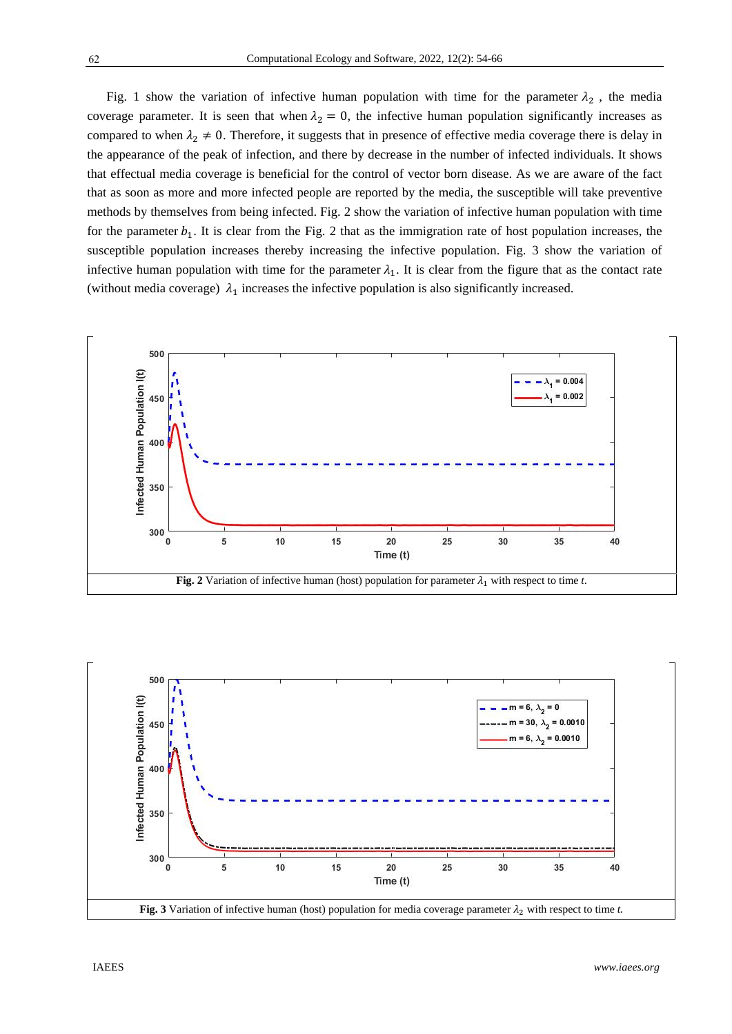Fig. 1 show the variation of infective human population with time for the parameter  $\lambda_2$ , the media coverage parameter. It is seen that when  $\lambda_2 = 0$ , the infective human population significantly increases as compared to when  $\lambda_2 \neq 0$ . Therefore, it suggests that in presence of effective media coverage there is delay in the appearance of the peak of infection, and there by decrease in the number of infected individuals. It shows that effectual media coverage is beneficial for the control of vector born disease. As we are aware of the fact that as soon as more and more infected people are reported by the media, the susceptible will take preventive methods by themselves from being infected. Fig. 2 show the variation of infective human population with time for the parameter  $b_1$ . It is clear from the Fig. 2 that as the immigration rate of host population increases, the susceptible population increases thereby increasing the infective population. Fig. 3 show the variation of infective human population with time for the parameter  $\lambda_1$ . It is clear from the figure that as the contact rate (without media coverage)  $\lambda_1$  increases the infective population is also significantly increased.





IAEES *www.iaees.org*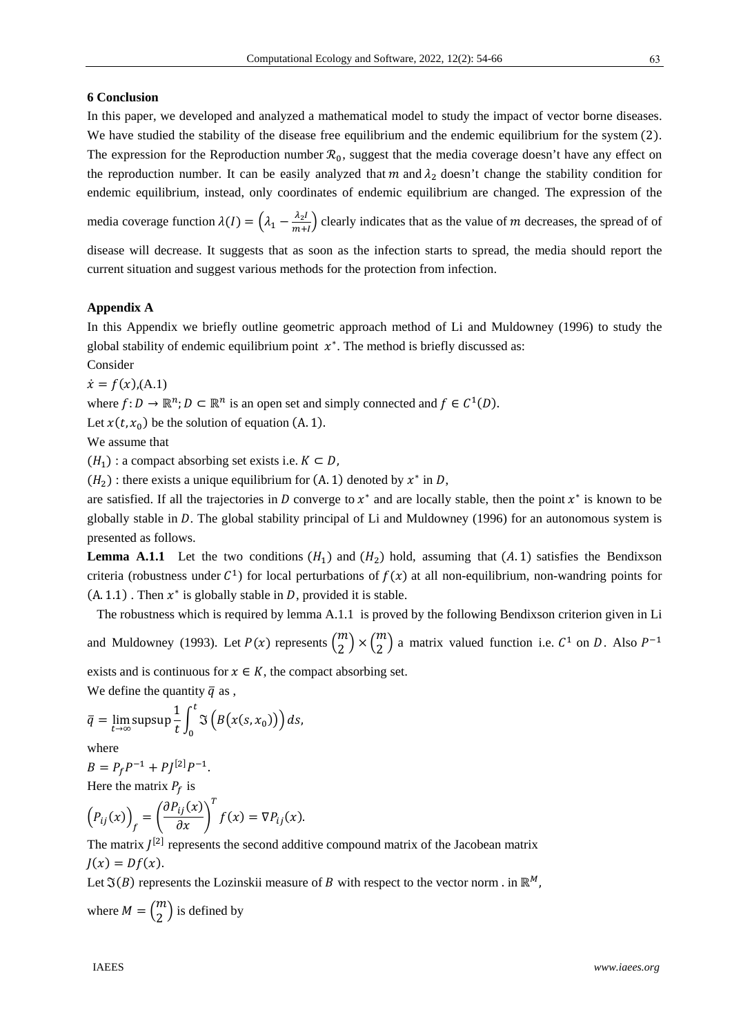## **6 Conclusion**

In this paper, we developed and analyzed a mathematical model to study the impact of vector borne diseases. We have studied the stability of the disease free equilibrium and the endemic equilibrium for the system (2). The expression for the Reproduction number  $\mathcal{R}_0$ , suggest that the media coverage doesn't have any effect on the reproduction number. It can be easily analyzed that m and  $\lambda_2$  doesn't change the stability condition for endemic equilibrium, instead, only coordinates of endemic equilibrium are changed. The expression of the

media coverage function  $\lambda(I) = (\lambda_1 - \frac{\lambda_2 I}{m+1})$  clearly indicates that as the value of m decreases, the spread of of

disease will decrease. It suggests that as soon as the infection starts to spread, the media should report the current situation and suggest various methods for the protection from infection.

# **Appendix A**

In this Appendix we briefly outline geometric approach method of Li and Muldowney (1996) to study the global stability of endemic equilibrium point  $x^*$ . The method is briefly discussed as:

Consider

 $\dot{x} = f(x)$ ,(A.1)

where  $f: D \to \mathbb{R}^n$ ;  $D \subset \mathbb{R}^n$  is an open set and simply connected and  $f \in C^1(D)$ .

Let  $x(t, x_0)$  be the solution of equation (A. 1).

We assume that

 $(H_1)$ : a compact absorbing set exists i.e.  $K \subset D$ ,

 $(H_2)$ : there exists a unique equilibrium for  $(A, 1)$  denoted by  $x^*$  in D,

are satisfied. If all the trajectories in D converge to  $x^*$  and are locally stable, then the point  $x^*$  is known to be globally stable in  $D$ . The global stability principal of Li and Muldowney (1996) for an autonomous system is presented as follows.

**Lemma A.1.1** Let the two conditions  $(H_1)$  and  $(H_2)$  hold, assuming that  $(A.1)$  satisfies the Bendixson criteria (robustness under  $\mathcal{C}^1$ ) for local perturbations of  $f(x)$  at all non-equilibrium, non-wandring points for  $(A. 1.1)$ . Then  $x^*$  is globally stable in D, provided it is stable.

 The robustness which is required by lemma A.1.1 is proved by the following Bendixson criterion given in Li and Muldowney (1993). Let  $P(x)$  represents  $\binom{m}{2} \times \binom{m}{2}$  a matrix valued function i.e.  $C^1$  on D. Also  $P^{-1}$ 

exists and is continuous for  $x \in K$ , the compact absorbing set.

We define the quantity  $\bar{q}$  as,

$$
\overline{q} = \lim_{t \to \infty} \text{supsup} \frac{1}{t} \int_0^t \Im \left( B(x(s, x_0)) \right) ds,
$$

where

$$
B = P_f P^{-1} + P J^{[2]} P^{-1}.
$$

Here the matrix 
$$
P_f
$$
 is

$$
(P_{ij}(x))_f = \left(\frac{\partial P_{ij}(x)}{\partial x}\right)^T f(x) = \nabla P_{ij}(x).
$$

The matrix  $I^{[2]}$  represents the second additive compound matrix of the Jacobean matrix  $J(x) = Df(x)$ .

Let  $\mathfrak{I}(B)$  represents the Lozinskii measure of B with respect to the vector norm . in  $\mathbb{R}^M$ ,

where  $M = \binom{m}{2}$  is defined by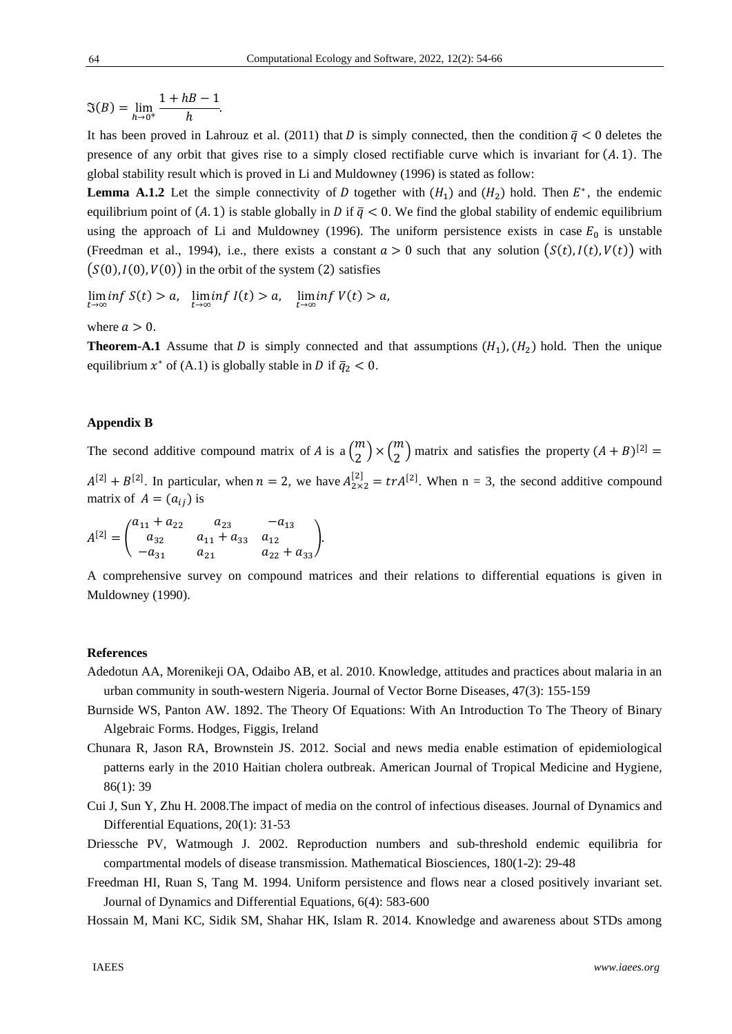$\mathfrak{I}(B) = \lim_{h \to 0^+}$  $\frac{1+hB-1}{h}$ .

It has been proved in Lahrouz et al. (2011) that D is simply connected, then the condition  $\bar{q} < 0$  deletes the presence of any orbit that gives rise to a simply closed rectifiable curve which is invariant for  $(A, 1)$ . The global stability result which is proved in Li and Muldowney (1996) is stated as follow:

**Lemma A.1.2** Let the simple connectivity of D together with  $(H_1)$  and  $(H_2)$  hold. Then  $E^*$ , the endemic equilibrium point of  $(A, 1)$  is stable globally in D if  $\bar{q} < 0$ . We find the global stability of endemic equilibrium using the approach of Li and Muldowney (1996). The uniform persistence exists in case  $E_0$  is unstable (Freedman et al., 1994), i.e., there exists a constant  $a > 0$  such that any solution  $(S(t), I(t), V(t))$  with  $(S(0), I(0), V(0))$  in the orbit of the system  $(2)$  satisfies

$$
\liminf_{t \to \infty} S(t) > a, \quad \liminf_{t \to \infty} I(t) > a, \quad \liminf_{t \to \infty} V(t) > a,
$$

where  $a > 0$ .

**Theorem-A.1** Assume that D is simply connected and that assumptions  $(H_1)$ ,  $(H_2)$  hold. Then the unique equilibrium  $x^*$  of (A.1) is globally stable in D if  $\bar{q}_2 < 0$ .

#### **Appendix B**

The second additive compound matrix of A is a  $\binom{m}{2} \times \binom{m}{2}$  matrix and satisfies the property  $(A + B)^{[2]} =$  $A^{[2]} + B^{[2]}$ . In particular, when  $n = 2$ , we have  $A_{2 \times 2}^{[2]} = tr A^{[2]}$ . When  $n = 3$ , the second additive compound matrix of  $A = (a_{ij})$  is

$$
A^{[2]} = \begin{pmatrix} a_{11} + a_{22} & a_{23} & -a_{13} \\ a_{32} & a_{11} + a_{33} & a_{12} \\ -a_{31} & a_{21} & a_{22} + a_{33} \end{pmatrix}.
$$

A comprehensive survey on compound matrices and their relations to differential equations is given in Muldowney (1990).

#### **References**

- Adedotun AA, Morenikeji OA, Odaibo AB, et al. 2010. Knowledge, attitudes and practices about malaria in an urban community in south-western Nigeria. Journal of Vector Borne Diseases, 47(3): 155-159
- Burnside WS, Panton AW. 1892. The Theory Of Equations: With An Introduction To The Theory of Binary Algebraic Forms. Hodges, Figgis, Ireland
- Chunara R, Jason RA, Brownstein JS. 2012. Social and news media enable estimation of epidemiological patterns early in the 2010 Haitian cholera outbreak. American Journal of Tropical Medicine and Hygiene, 86(1): 39
- Cui J, Sun Y, Zhu H. 2008.The impact of media on the control of infectious diseases. Journal of Dynamics and Differential Equations, 20(1): 31-53
- Driessche PV, Watmough J. 2002. Reproduction numbers and sub-threshold endemic equilibria for compartmental models of disease transmission. Mathematical Biosciences, 180(1-2): 29-48
- Freedman HI, Ruan S, Tang M. 1994. Uniform persistence and flows near a closed positively invariant set. Journal of Dynamics and Differential Equations, 6(4): 583-600
- Hossain M, Mani KC, Sidik SM, Shahar HK, Islam R. 2014. Knowledge and awareness about STDs among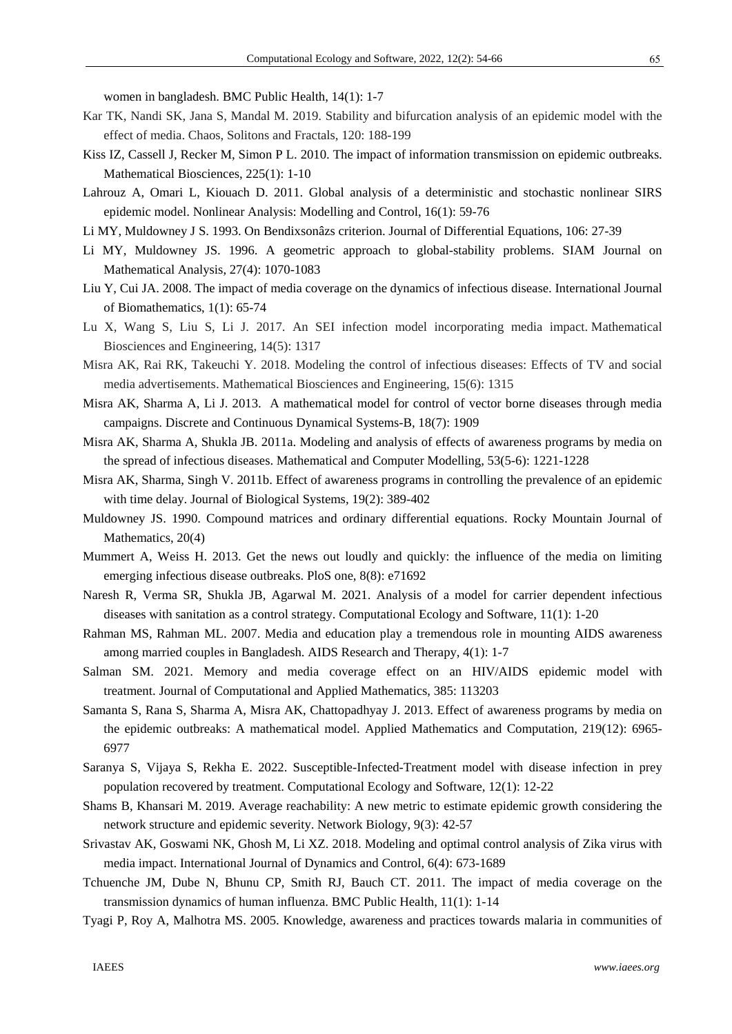women in bangladesh. BMC Public Health, 14(1): 1-7

- Kar TK, Nandi SK, Jana S, Mandal M. 2019. Stability and bifurcation analysis of an epidemic model with the effect of media. Chaos, Solitons and Fractals, 120: 188-199
- Kiss IZ, Cassell J, Recker M, Simon P L. 2010. The impact of information transmission on epidemic outbreaks. Mathematical Biosciences, 225(1): 1-10
- Lahrouz A, Omari L, Kiouach D. 2011. Global analysis of a deterministic and stochastic nonlinear SIRS epidemic model. Nonlinear Analysis: Modelling and Control, 16(1): 59-76
- Li MY, Muldowney J S. 1993. On Bendixsonâzs criterion. Journal of Differential Equations, 106: 27-39
- Li MY, Muldowney JS. 1996. A geometric approach to global-stability problems. SIAM Journal on Mathematical Analysis, 27(4): 1070-1083
- Liu Y, Cui JA. 2008. The impact of media coverage on the dynamics of infectious disease. International Journal of Biomathematics, 1(1): 65-74
- Lu X, Wang S, Liu S, Li J. 2017. An SEI infection model incorporating media impact. Mathematical Biosciences and Engineering, 14(5): 1317
- Misra AK, Rai RK, Takeuchi Y. 2018. Modeling the control of infectious diseases: Effects of TV and social media advertisements. Mathematical Biosciences and Engineering, 15(6): 1315
- Misra AK, Sharma A, Li J. 2013. A mathematical model for control of vector borne diseases through media campaigns. Discrete and Continuous Dynamical Systems-B, 18(7): 1909
- Misra AK, Sharma A, Shukla JB. 2011a. Modeling and analysis of effects of awareness programs by media on the spread of infectious diseases. Mathematical and Computer Modelling, 53(5-6): 1221-1228
- Misra AK, Sharma, Singh V. 2011b. Effect of awareness programs in controlling the prevalence of an epidemic with time delay. Journal of Biological Systems, 19(2): 389-402
- Muldowney JS. 1990. Compound matrices and ordinary differential equations. Rocky Mountain Journal of Mathematics, 20(4)
- Mummert A, Weiss H. 2013. Get the news out loudly and quickly: the influence of the media on limiting emerging infectious disease outbreaks. PloS one, 8(8): e71692
- Naresh R, Verma SR, Shukla JB, Agarwal M. 2021. Analysis of a model for carrier dependent infectious diseases with sanitation as a control strategy. Computational Ecology and Software, 11(1): 1-20
- Rahman MS, Rahman ML. 2007. Media and education play a tremendous role in mounting AIDS awareness among married couples in Bangladesh. AIDS Research and Therapy, 4(1): 1-7
- Salman SM. 2021. Memory and media coverage effect on an HIV/AIDS epidemic model with treatment. Journal of Computational and Applied Mathematics, 385: 113203
- Samanta S, Rana S, Sharma A, Misra AK, Chattopadhyay J. 2013. Effect of awareness programs by media on the epidemic outbreaks: A mathematical model. Applied Mathematics and Computation, 219(12): 6965- 6977
- Saranya S, Vijaya S, Rekha E. 2022. Susceptible-Infected-Treatment model with disease infection in prey population recovered by treatment. Computational Ecology and Software, 12(1): 12-22
- Shams B, Khansari M. 2019. Average reachability: A new metric to estimate epidemic growth considering the network structure and epidemic severity. Network Biology, 9(3): 42-57
- Srivastav AK, Goswami NK, Ghosh M, Li XZ. 2018. Modeling and optimal control analysis of Zika virus with media impact. International Journal of Dynamics and Control, 6(4): 673-1689
- Tchuenche JM, Dube N, Bhunu CP, Smith RJ, Bauch CT. 2011. The impact of media coverage on the transmission dynamics of human influenza. BMC Public Health, 11(1): 1-14
- Tyagi P, Roy A, Malhotra MS. 2005. Knowledge, awareness and practices towards malaria in communities of